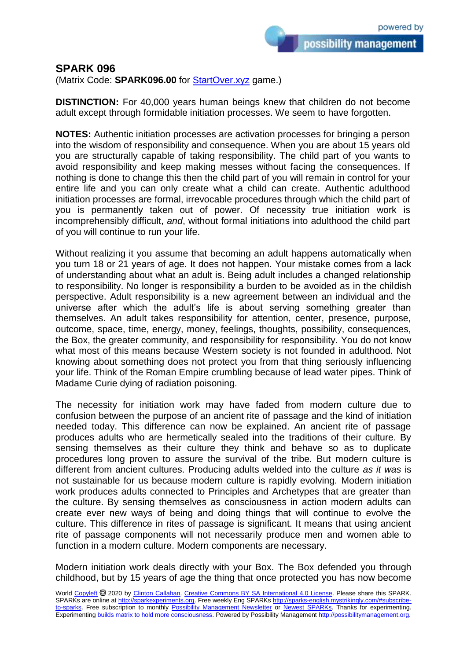possibility management

## **SPARK 096**

(Matrix Code: **SPARK096.00** for [StartOver.xyz](https://startoverxyz.mystrikingly.com/) game.)

**DISTINCTION:** For 40,000 years human beings knew that children do not become adult except through formidable initiation processes. We seem to have forgotten.

**NOTES:** Authentic initiation processes are activation processes for bringing a person into the wisdom of responsibility and consequence. When you are about 15 years old you are structurally capable of taking responsibility. The child part of you wants to avoid responsibility and keep making messes without facing the consequences. If nothing is done to change this then the child part of you will remain in control for your entire life and you can only create what a child can create. Authentic adulthood initiation processes are formal, irrevocable procedures through which the child part of you is permanently taken out of power. Of necessity true initiation work is incomprehensibly difficult, *and*, without formal initiations into adulthood the child part of you will continue to run your life.

Without realizing it you assume that becoming an adult happens automatically when you turn 18 or 21 years of age. It does not happen. Your mistake comes from a lack of understanding about what an adult is. Being adult includes a changed relationship to responsibility. No longer is responsibility a burden to be avoided as in the childish perspective. Adult responsibility is a new agreement between an individual and the universe after which the adult's life is about serving something greater than themselves. An adult takes responsibility for attention, center, presence, purpose, outcome, space, time, energy, money, feelings, thoughts, possibility, consequences, the Box, the greater community, and responsibility for responsibility. You do not know what most of this means because Western society is not founded in adulthood. Not knowing about something does not protect you from that thing seriously influencing your life. Think of the Roman Empire crumbling because of lead water pipes. Think of Madame Curie dying of radiation poisoning.

The necessity for initiation work may have faded from modern culture due to confusion between the purpose of an ancient rite of passage and the kind of initiation needed today. This difference can now be explained. An ancient rite of passage produces adults who are hermetically sealed into the traditions of their culture. By sensing themselves as their culture they think and behave so as to duplicate procedures long proven to assure the survival of the tribe. But modern culture is different from ancient cultures. Producing adults welded into the culture *as it was* is not sustainable for us because modern culture is rapidly evolving. Modern initiation work produces adults connected to Principles and Archetypes that are greater than the culture. By sensing themselves as consciousness in action modern adults can create ever new ways of being and doing things that will continue to evolve the culture. This difference in rites of passage is significant. It means that using ancient rite of passage components will not necessarily produce men and women able to function in a modern culture. Modern components are necessary.

Modern initiation work deals directly with your Box. The Box defended you through childhood, but by 15 years of age the thing that once protected you has now become

World [Copyleft](https://en.wikipedia.org/wiki/Copyleft) <sup>®</sup> 2020 by [Clinton Callahan.](http://clintoncallahan.mystrikingly.com/) [Creative Commons BY SA International 4.0 License.](https://creativecommons.org/licenses/by-sa/4.0/) Please share this SPARK. SPARKs are online at [http://sparkexperiments.org.](http://sparks-english.mystrikingly.com/) Free weekly Eng SPARKs [http://sparks-english.mystrikingly.com/#subscribe](http://sparks-english.mystrikingly.com/#subscribe-to-sparks)[to-sparks.](http://sparks-english.mystrikingly.com/#subscribe-to-sparks) Free subscription to monthly [Possibility Management Newsletter](https://possibilitymanagement.org/news/) or [Newest SPARKs.](https://www.clintoncallahan.org/newsletter-1) Thanks for experimenting. Experimentin[g builds matrix to hold more consciousness.](http://spaceport.mystrikingly.com/) Powered by Possibility Managemen[t http://possibilitymanagement.org.](http://possibilitymanagement.org/)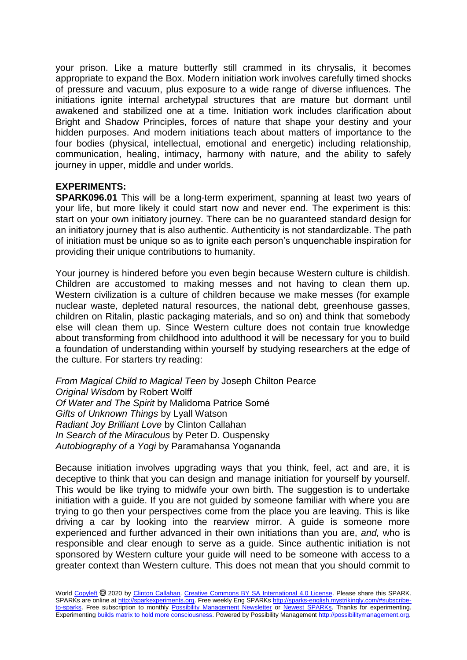your prison. Like a mature butterfly still crammed in its chrysalis, it becomes appropriate to expand the Box. Modern initiation work involves carefully timed shocks of pressure and vacuum, plus exposure to a wide range of diverse influences. The initiations ignite internal archetypal structures that are mature but dormant until awakened and stabilized one at a time. Initiation work includes clarification about Bright and Shadow Principles, forces of nature that shape your destiny and your hidden purposes. And modern initiations teach about matters of importance to the four bodies (physical, intellectual, emotional and energetic) including relationship, communication, healing, intimacy, harmony with nature, and the ability to safely journey in upper, middle and under worlds.

## **EXPERIMENTS:**

**SPARK096.01** This will be a long-term experiment, spanning at least two years of your life, but more likely it could start now and never end. The experiment is this: start on your own initiatory journey. There can be no guaranteed standard design for an initiatory journey that is also authentic. Authenticity is not standardizable. The path of initiation must be unique so as to ignite each person's unquenchable inspiration for providing their unique contributions to humanity.

Your journey is hindered before you even begin because Western culture is childish. Children are accustomed to making messes and not having to clean them up. Western civilization is a culture of children because we make messes (for example nuclear waste, depleted natural resources, the national debt, greenhouse gasses, children on Ritalin, plastic packaging materials, and so on) and think that somebody else will clean them up. Since Western culture does not contain true knowledge about transforming from childhood into adulthood it will be necessary for you to build a foundation of understanding within yourself by studying researchers at the edge of the culture. For starters try reading:

*From Magical Child to Magical Teen* by Joseph Chilton Pearce *Original Wisdom* by Robert Wolff *Of Water and The Spirit* by Malidoma Patrice Somé *Gifts of Unknown Things* by Lyall Watson *Radiant Joy Brilliant Love* by Clinton Callahan *In Search of the Miraculous* by Peter D. Ouspensky *Autobiography of a Yogi* by Paramahansa Yogananda

Because initiation involves upgrading ways that you think, feel, act and are, it is deceptive to think that you can design and manage initiation for yourself by yourself. This would be like trying to midwife your own birth. The suggestion is to undertake initiation with a guide. If you are not guided by someone familiar with where you are trying to go then your perspectives come from the place you are leaving. This is like driving a car by looking into the rearview mirror. A guide is someone more experienced and further advanced in their own initiations than you are, *and,* who is responsible and clear enough to serve as a guide. Since authentic initiation is not sponsored by Western culture your guide will need to be someone with access to a greater context than Western culture. This does not mean that you should commit to